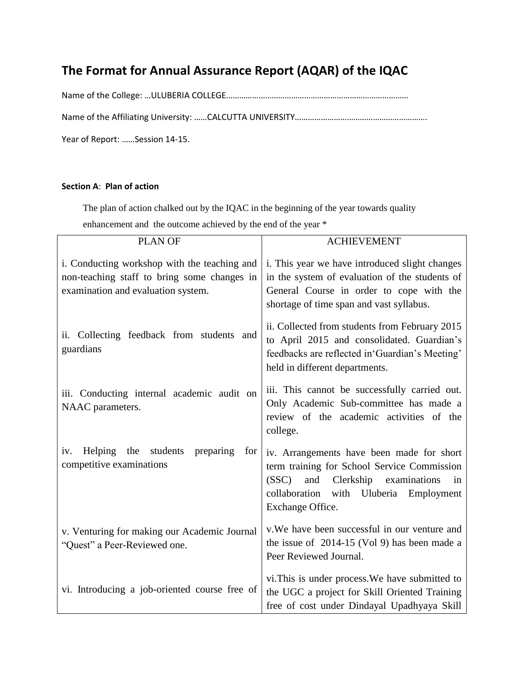# **The Format for Annual Assurance Report (AQAR) of the IQAC**

Name of the College: …ULUBERIA COLLEGE…………………………………………………………………………

Name of the Affiliating University: ……CALCUTTA UNIVERSITY……………………………………………………………

Year of Report: ……Session 14-15.

#### **Section A**: **Plan of action**

The plan of action chalked out by the IQAC in the beginning of the year towards quality

enhancement and the outcome achieved by the end of the year \*

| <b>PLAN OF</b>                                                                                                                    | <b>ACHIEVEMENT</b>                                                                                                                                                                                              |
|-----------------------------------------------------------------------------------------------------------------------------------|-----------------------------------------------------------------------------------------------------------------------------------------------------------------------------------------------------------------|
| i. Conducting workshop with the teaching and<br>non-teaching staff to bring some changes in<br>examination and evaluation system. | i. This year we have introduced slight changes<br>in the system of evaluation of the students of<br>General Course in order to cope with the<br>shortage of time span and vast syllabus.                        |
| ii. Collecting feedback from students and<br>guardians                                                                            | ii. Collected from students from February 2015<br>to April 2015 and consolidated. Guardian's<br>feedbacks are reflected in 'Guardian's Meeting'<br>held in different departments.                               |
| iii. Conducting internal academic audit on<br>NAAC parameters.                                                                    | iii. This cannot be successfully carried out.<br>Only Academic Sub-committee has made a<br>review of the academic activities of the<br>college.                                                                 |
| students<br>Helping<br>the<br>preparing<br>for<br>iv.<br>competitive examinations                                                 | iv. Arrangements have been made for short<br>term training for School Service Commission<br>Clerkship<br>(SSC)<br>and<br>examinations<br>in<br>Uluberia<br>collaboration with<br>Employment<br>Exchange Office. |
| v. Venturing for making our Academic Journal<br>"Quest" a Peer-Reviewed one.                                                      | v. We have been successful in our venture and<br>the issue of $2014-15$ (Vol 9) has been made a<br>Peer Reviewed Journal.                                                                                       |
| vi. Introducing a job-oriented course free of                                                                                     | vi.This is under process. We have submitted to<br>the UGC a project for Skill Oriented Training<br>free of cost under Dindayal Upadhyaya Skill                                                                  |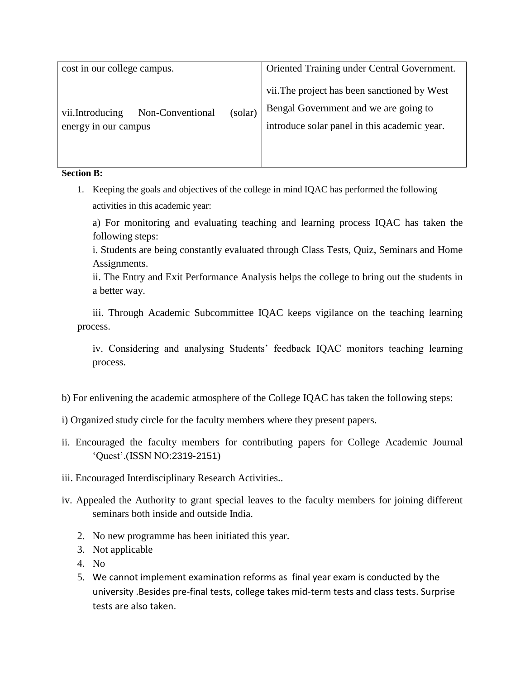| cost in our college campus.                                 | Oriented Training under Central Government. |                                                                                                                                       |
|-------------------------------------------------------------|---------------------------------------------|---------------------------------------------------------------------------------------------------------------------------------------|
| vii.Introducing<br>Non-Conventional<br>energy in our campus | (solar)                                     | vii. The project has been sanctioned by West<br>Bengal Government and we are going to<br>introduce solar panel in this academic year. |

**Section B:**

1. Keeping the goals and objectives of the college in mind IQAC has performed the following activities in this academic year:

a) For monitoring and evaluating teaching and learning process IQAC has taken the following steps:

i. Students are being constantly evaluated through Class Tests, Quiz, Seminars and Home Assignments.

ii. The Entry and Exit Performance Analysis helps the college to bring out the students in a better way.

iii. Through Academic Subcommittee IQAC keeps vigilance on the teaching learning process.

iv. Considering and analysing Students' feedback IQAC monitors teaching learning process.

- b) For enlivening the academic atmosphere of the College IQAC has taken the following steps:
- i) Organized study circle for the faculty members where they present papers.
- ii. Encouraged the faculty members for contributing papers for College Academic Journal 'Quest'.(ISSN NO:2319-2151)
- iii. Encouraged Interdisciplinary Research Activities..
- iv. Appealed the Authority to grant special leaves to the faculty members for joining different seminars both inside and outside India.
	- 2. No new programme has been initiated this year.
	- 3. Not applicable
	- 4. No
	- 5. We cannot implement examination reforms as final year exam is conducted by the university .Besides pre-final tests, college takes mid-term tests and class tests. Surprise tests are also taken.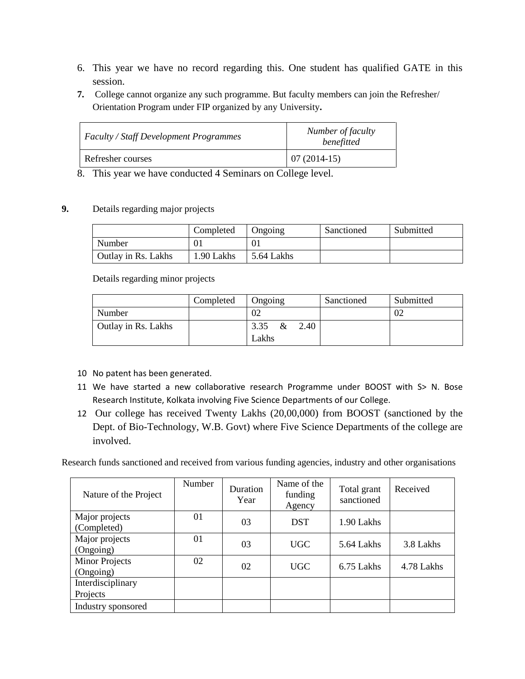- 6. This year we have no record regarding this. One student has qualified GATE in this session.
- **7.** College cannot organize any such programme. But faculty members can join the Refresher/ Orientation Program under FIP organized by any University**.**

| <b>Faculty / Staff Development Programmes</b> | Number of faculty<br>benefitted |
|-----------------------------------------------|---------------------------------|
| Refresher courses                             | $07(2014-15)$                   |

8. This year we have conducted 4 Seminars on College level.

# **9.** Details regarding major projects

|                     | Completed  | Ongoing    | Sanctioned | Submitted |
|---------------------|------------|------------|------------|-----------|
| Number              |            | 01         |            |           |
| Outlay in Rs. Lakhs | 1.90 Lakhs | 5.64 Lakhs |            |           |

Details regarding minor projects

|                     | Completed | Ongoing           | Sanctioned | Submitted |
|---------------------|-----------|-------------------|------------|-----------|
| Number              |           | 02                |            | 02        |
| Outlay in Rs. Lakhs |           | 3.35 $\&$<br>2.40 |            |           |
|                     |           | Lakhs             |            |           |

- 10 No patent has been generated.
- 11 We have started a new collaborative research Programme under BOOST with S> N. Bose Research Institute, Kolkata involving Five Science Departments of our College.
- 12 Our college has received Twenty Lakhs (20,00,000) from BOOST (sanctioned by the Dept. of Bio-Technology, W.B. Govt) where Five Science Departments of the college are involved.

Research funds sanctioned and received from various funding agencies, industry and other organisations

| Nature of the Project              | Number | Duration<br>Year | Name of the<br>funding<br>Agency | Total grant<br>sanctioned | Received   |
|------------------------------------|--------|------------------|----------------------------------|---------------------------|------------|
| Major projects<br>(Completed)      | 01     | 03               | <b>DST</b>                       | 1.90 Lakhs                |            |
| Major projects<br>(Ongoing)        | 01     | 03               | UGC                              | 5.64 Lakhs                | 3.8 Lakhs  |
| <b>Minor Projects</b><br>(Ongoing) | 02     | 02               | UGC                              | 6.75 Lakhs                | 4.78 Lakhs |
| Interdisciplinary<br>Projects      |        |                  |                                  |                           |            |
| Industry sponsored                 |        |                  |                                  |                           |            |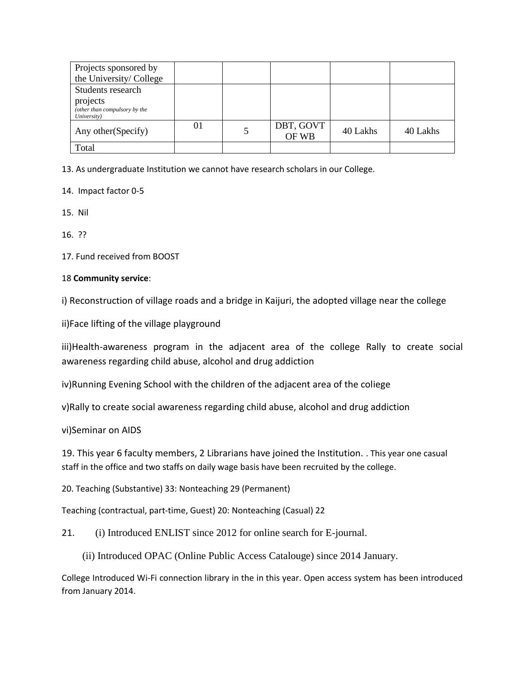| Projects sponsored by<br>the University/College          |    |                    |          |          |
|----------------------------------------------------------|----|--------------------|----------|----------|
| Students research                                        |    |                    |          |          |
| projects<br>(other than compulsory by the<br>University) |    |                    |          |          |
| Any other (Specify)                                      | 01 | DBT, GOVT<br>OF WB | 40 Lakhs | 40 Lakhs |
| Total                                                    |    |                    |          |          |

13. As undergraduate Institution we cannot have research scholars in our College.

14. Impact factor 0-5

15. Nil

16. ??

17. Fund received from BOOST

# 18 **Community service**:

i) Reconstruction of village roads and a bridge in Kaijuri, the adopted village near the college

ii)Face lifting of the village playground

iii)Health-awareness program in the adjacent area of the college Rally to create social awareness regarding child abuse, alcohol and drug addiction

iv)Running Evening School with the children of the adjacent area of the coliege

v)Rally to create social awareness regarding child abuse, alcohol and drug addiction

vi)Seminar on AIDS

19. This year 6 faculty members, 2 Librarians have joined the Institution. . This year one casual staff in the office and two staffs on daily wage basis have been recruited by the college.

20. Teaching (Substantive) 33: Nonteaching 29 (Permanent)

Teaching (contractual, part-time, Guest) 20: Nonteaching (Casual) 22

21. (i) Introduced ENLIST since 2012 for online search for E-journal.

(ii) Introduced OPAC (Online Public Access Catalouge) since 2014 January.

College Introduced Wi-Fi connection library in the in this year. Open access system has been introduced from January 2014.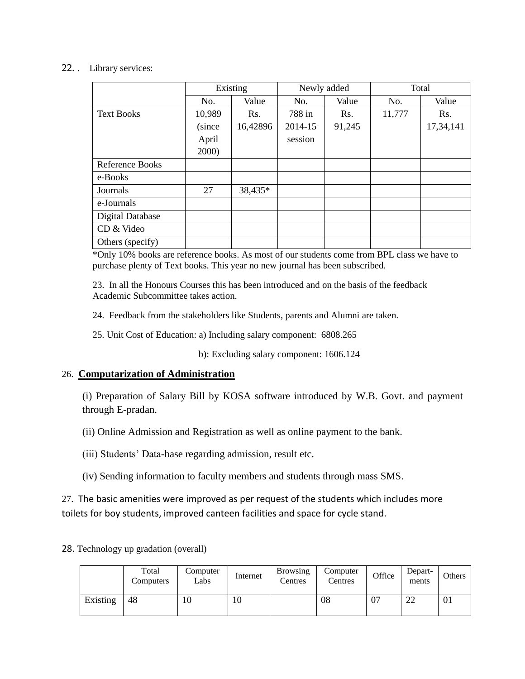#### 22. . Library services:

|                         | Existing |          |         | Newly added | Total  |           |  |
|-------------------------|----------|----------|---------|-------------|--------|-----------|--|
|                         | No.      | Value    | No.     | Value       | No.    | Value     |  |
| <b>Text Books</b>       | 10,989   | Rs.      | 788 in  | Rs.         | 11,777 | Rs.       |  |
|                         | (since   | 16,42896 | 2014-15 | 91,245      |        | 17,34,141 |  |
|                         | April    |          | session |             |        |           |  |
|                         | 2000)    |          |         |             |        |           |  |
| <b>Reference Books</b>  |          |          |         |             |        |           |  |
| e-Books                 |          |          |         |             |        |           |  |
| Journals                | 27       | 38,435*  |         |             |        |           |  |
| e-Journals              |          |          |         |             |        |           |  |
| <b>Digital Database</b> |          |          |         |             |        |           |  |
| CD & Video              |          |          |         |             |        |           |  |
| Others (specify)        |          |          |         |             |        |           |  |

\*Only 10% books are reference books. As most of our students come from BPL class we have to purchase plenty of Text books. This year no new journal has been subscribed.

23. In all the Honours Courses this has been introduced and on the basis of the feedback Academic Subcommittee takes action.

24. Feedback from the stakeholders like Students, parents and Alumni are taken.

25. Unit Cost of Education: a) Including salary component: 6808.265

b): Excluding salary component: 1606.124

# 26. **Computarization of Administration**

(i) Preparation of Salary Bill by KOSA software introduced by W.B. Govt. and payment through E-pradan.

(ii) Online Admission and Registration as well as online payment to the bank.

(iii) Students' Data-base regarding admission, result etc.

(iv) Sending information to faculty members and students through mass SMS.

27. The basic amenities were improved as per request of the students which includes more toilets for boy students, improved canteen facilities and space for cycle stand.

28. Technology up gradation (overall)

|          | Total<br>Computers | Computer<br>Labs | Internet | <b>Browsing</b><br>Centres | Computer<br>Centres | Office | Depart-<br>ments | <b>Others</b> |
|----------|--------------------|------------------|----------|----------------------------|---------------------|--------|------------------|---------------|
| Existing | 48                 | 10               | 10       |                            | 08                  | 07     | ററ<br>∠∠         | 01            |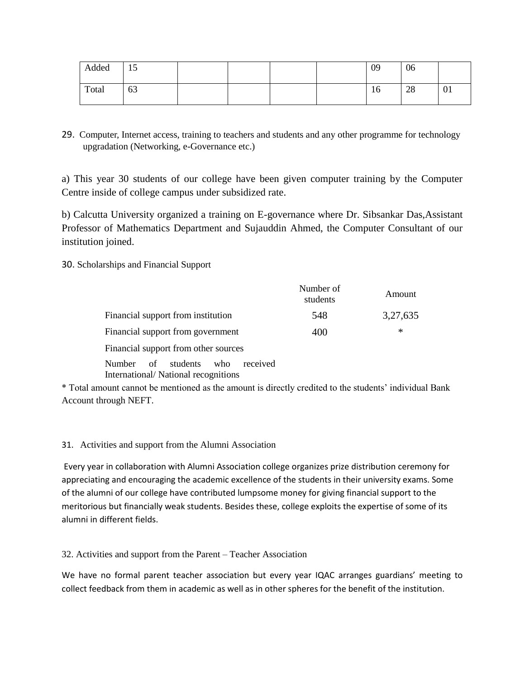| Added | 15 |  |  | 09 | 06 |    |
|-------|----|--|--|----|----|----|
| Total | 63 |  |  | 16 | 28 | 01 |

29. Computer, Internet access, training to teachers and students and any other programme for technology upgradation (Networking, e-Governance etc.)

a) This year 30 students of our college have been given computer training by the Computer Centre inside of college campus under subsidized rate.

b) Calcutta University organized a training on E-governance where Dr. Sibsankar Das,Assistant Professor of Mathematics Department and Sujauddin Ahmed, the Computer Consultant of our institution joined.

30. Scholarships and Financial Support

|                                      | Number of<br>students | Amount   |
|--------------------------------------|-----------------------|----------|
| Financial support from institution   | 548                   | 3,27,635 |
| Financial support from government    | 400                   | ∗        |
| Financial support from other sources |                       |          |
| $\mathbf{M}$ 1 (1) 1 (1)             |                       |          |

Number of students who received International/ National recognitions

\* Total amount cannot be mentioned as the amount is directly credited to the students' individual Bank Account through NEFT.

# 31. Activities and support from the Alumni Association

Every year in collaboration with Alumni Association college organizes prize distribution ceremony for appreciating and encouraging the academic excellence of the students in their university exams. Some of the alumni of our college have contributed lumpsome money for giving financial support to the meritorious but financially weak students. Besides these, college exploits the expertise of some of its alumni in different fields.

32. Activities and support from the Parent – Teacher Association

We have no formal parent teacher association but every year IQAC arranges guardians' meeting to collect feedback from them in academic as well as in other spheres for the benefit of the institution.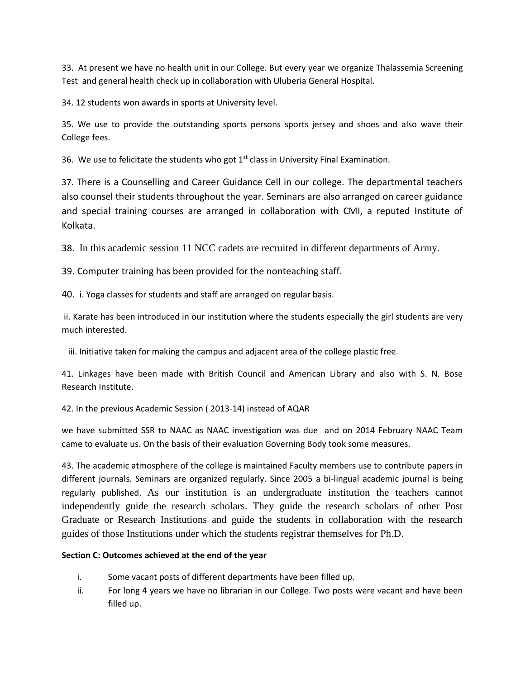33. At present we have no health unit in our College. But every year we organize Thalassemia Screening Test and general health check up in collaboration with Uluberia General Hospital.

34. 12 students won awards in sports at University level.

35. We use to provide the outstanding sports persons sports jersey and shoes and also wave their College fees.

36. We use to felicitate the students who got  $1<sup>st</sup>$  class in University Final Examination.

37. There is a Counselling and Career Guidance Cell in our college. The departmental teachers also counsel their students throughout the year. Seminars are also arranged on career guidance and special training courses are arranged in collaboration with CMI, a reputed Institute of Kolkata.

38. In this academic session 11 NCC cadets are recruited in different departments of Army.

39. Computer training has been provided for the nonteaching staff.

40. i. Yoga classes for students and staff are arranged on regular basis.

ii. Karate has been introduced in our institution where the students especially the girl students are very much interested.

iii. Initiative taken for making the campus and adjacent area of the college plastic free.

41. Linkages have been made with British Council and American Library and also with S. N. Bose Research Institute.

42. In the previous Academic Session ( 2013-14) instead of AQAR

we have submitted SSR to NAAC as NAAC investigation was due and on 2014 February NAAC Team came to evaluate us. On the basis of their evaluation Governing Body took some measures.

43. The academic atmosphere of the college is maintained Faculty members use to contribute papers in different journals. Seminars are organized regularly. Since 2005 a bi-lingual academic journal is being regularly published. As our institution is an undergraduate institution the teachers cannot independently guide the research scholars. They guide the research scholars of other Post Graduate or Research Institutions and guide the students in collaboration with the research guides of those Institutions under which the students registrar themselves for Ph.D.

# **Section C: Outcomes achieved at the end of the year**

- i. Some vacant posts of different departments have been filled up.
- ii. For long 4 years we have no librarian in our College. Two posts were vacant and have been filled up.